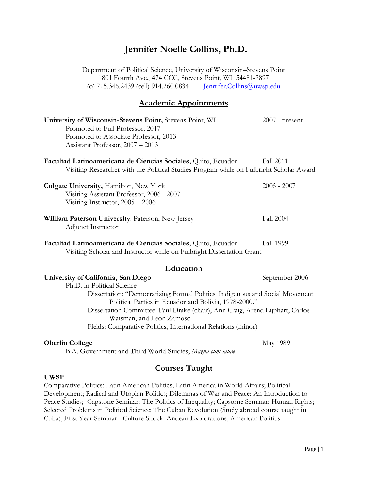# **Jennifer Noelle Collins, Ph.D.**

Department of Political Science, University of Wisconsin–Stevens Point 1801 Fourth Ave., 474 CCC, Stevens Point, WI 54481-3897 (o) 715.346.2439 (cell) 914.260.0834 [Jennifer.Collins@uwsp.edu](mailto:Jennifer.Collins@uwsp.edu)

### **Academic Appointments**

| University of Wisconsin-Stevens Point, Stevens Point, WI<br>Promoted to Full Professor, 2017<br>Promoted to Associate Professor, 2013<br>Assistant Professor, 2007 - 2013 | $2007$ - present |
|---------------------------------------------------------------------------------------------------------------------------------------------------------------------------|------------------|
| Facultad Latinoamericana de Ciencias Sociales, Quito, Ecuador<br>Visiting Researcher with the Political Studies Program while on Fulbright Scholar Award                  | <b>Fall 2011</b> |
| <b>Colgate University, Hamilton, New York</b><br>Visiting Assistant Professor, 2006 - 2007<br>Visiting Instructor, $2005 - 2006$                                          | $2005 - 2007$    |
| William Paterson University, Paterson, New Jersey<br>Adjunct Instructor                                                                                                   | <b>Fall 2004</b> |
| Facultad Latinoamericana de Ciencias Sociales, Quito, Ecuador<br>Visiting Scholar and Instructor while on Fulbright Dissertation Grant                                    | <b>Fall 1999</b> |
| Education                                                                                                                                                                 |                  |
| University of California, San Diego<br>Ph.D. in Political Science                                                                                                         | September 2006   |
| Dissertation: "Democratizing Formal Politics: Indigenous and Social Movement<br>Political Parties in Ecuador and Bolivia, 1978-2000."                                     |                  |
| Dissertation Committee: Paul Drake (chair), Ann Craig, Arend Lijphart, Carlos<br>Waisman, and Leon Zamosc                                                                 |                  |
| Fields: Comparative Politics, International Relations (minor)                                                                                                             |                  |
| <b>Oberlin College</b><br><b>D</b> A Correspondent and Third Would Studies Mage sum lands                                                                                 | May 1989         |

B.A. Government and Third World Studies, *Magna cum laude*

## **Courses Taught**

### **UWSP**

Comparative Politics; Latin American Politics; Latin America in World Affairs; Political Development; Radical and Utopian Politics; Dilemmas of War and Peace: An Introduction to Peace Studies; Capstone Seminar: The Politics of Inequality; Capstone Seminar: Human Rights; Selected Problems in Political Science: The Cuban Revolution (Study abroad course taught in Cuba); First Year Seminar - Culture Shock: Andean Explorations; American Politics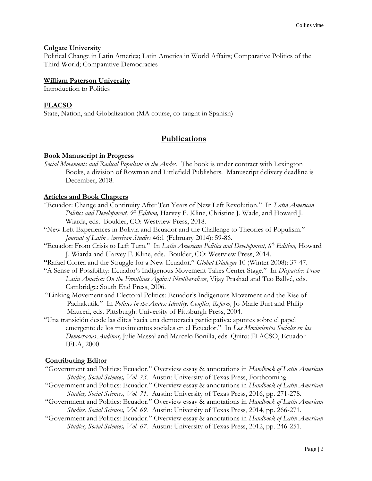### **Colgate University**

Political Change in Latin America; Latin America in World Affairs; Comparative Politics of the Third World; Comparative Democracies

#### **William Paterson University**

Introduction to Politics

### **FLACSO**

State, Nation, and Globalization (MA course, co-taught in Spanish)

# **Publications**

#### **Book Manuscript in Progress**

*Social Movements and Radical Populism in the Andes.* The book is under contract with Lexington Books, a division of Rowman and Littlefield Publishers. Manuscript delivery deadline is December, 2018.

### **Articles and Book Chapters**

- "Ecuador: Change and Continuity After Ten Years of New Left Revolution." In *Latin American Politics and Development, 9th Edition,* Harvey F. Kline, Christine J. Wade, and Howard J. Wiarda, eds. Boulder, CO: Westview Press, 2018.
- "New Left Experiences in Bolivia and Ecuador and the Challenge to Theories of Populism." *Journal of Latin American Studies* 46:1 (February 2014): 59-86.
- "Ecuador: From Crisis to Left Turn." In *Latin American Politics and Development, 8th Edition,* Howard J. Wiarda and Harvey F. Kline, eds. Boulder, CO: Westview Press, 2014.
- **"**Rafael Correa and the Struggle for a New Ecuador." *Global Dialogue* 10 (Winter 2008): 37-47.
- "A Sense of Possibility: Ecuador's Indigenous Movement Takes Center Stage." In *Dispatches From Latin America: On the Frontlines Against Neoliberalism*, Vijay Prashad and Teo Ballvé, eds. Cambridge: South End Press, 2006.
- "Linking Movement and Electoral Politics: Ecuador's Indigenous Movement and the Rise of Pachakutik." In *Politics in the Andes: Identity, Conflict, Reform,* Jo-Marie Burt and Philip Mauceri, eds. Pittsburgh: University of Pittsburgh Press, 2004.
- "Una transición desde las élites hacia una democracia participativa: apuntes sobre el papel emergente de los movimientos sociales en el Ecuador." In *Los Movimientos Sociales en las Democracias Andinas,* Julie Massal and Marcelo Bonilla, eds. Quito: FLACSO, Ecuador – IFEA, 2000.

### **Contributing Editor**

- "Government and Politics: Ecuador." Overview essay & annotations in *Handbook of Latin American Studies, Social Sciences, Vol. 73.* Austin: University of Texas Press, Forthcoming.
- "Government and Politics: Ecuador." Overview essay & annotations in *Handbook of Latin American Studies, Social Sciences, Vol. 71.* Austin: University of Texas Press, 2016, pp. 271-278.
- "Government and Politics: Ecuador." Overview essay & annotations in *Handbook of Latin American Studies, Social Sciences, Vol. 69.* Austin: University of Texas Press, 2014, pp. 266-271.
- "Government and Politics: Ecuador." Overview essay & annotations in *Handbook of Latin American Studies, Social Sciences, Vol. 67.* Austin: University of Texas Press, 2012, pp. 246-251.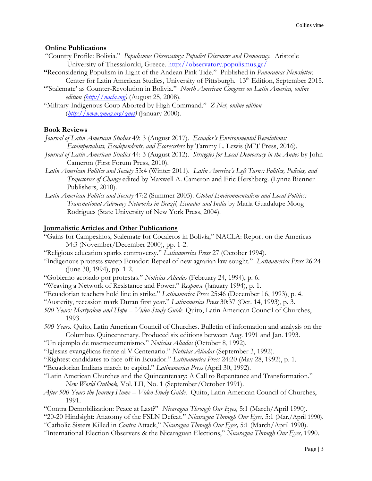### **Online Publications**

- "Country Profile: Bolivia." *Populismus Observatory: Populist Discourse and Democracy.* Aristotle University of Thessaloniki, Greece.<http://observatory.populismus.gr/>
- **"**Reconsidering Populism in Light of the Andean Pink Tide." Published in *Panoramas Newsletter.*  Center for Latin American Studies, University of Pittsburgh. 13<sup>th</sup> Edition, September 2015.
- "'Stalemate' as Counter-Revolution in Bolivia." *North American Congress on Latin America, online edition [\(http://nacla.org\)](http://nacla.org/)* (August 25, 2008).
- "Military-Indigenous Coup Aborted by High Command." *Z Net, online edition*  (*[http://www.zmag.org/znet\)](http://www.zmag.org/znet)* (January 2000).

### **Book Reviews**

*Journal of Latin American Studies* 49: 3 (August 2017). *Ecuador's Environmental Revolutions: Ecoimperialists, Ecodependents, and Ecoresisters* by Tammy L. Lewis (MIT Press, 2016).

- *Journal of Latin American Studies* 44: 3 (August 2012). *Struggles for Local Democracy in the Andes* by John Cameron (First Forum Press, 2010).
- *Latin American Politics and Society* 53:4 (Winter 2011). *Latin America's Left Turns: Politics, Policies, and Trajectories of Change* edited by Maxwell A. Cameron and Eric Hershberg. (Lynne Rienner Publishers, 2010).
- *Latin American Politics and Society* 47:2 (Summer 2005). *Global Environmentalism and Local Politics: Transnational Advocacy Networks in Brazil, Ecuador and India* by Maria Guadalupe Moog Rodrigues (State University of New York Press, 2004).

### **Journalistic Articles and Other Publications**

- "Gains for Campesinos, Stalemate for Cocaleros in Bolivia," NACLA: Report on the Americas 34:3 (November/December 2000), pp. 1-2.
- "Religious education sparks controversy." *Latinamerica Press* 27 (October 1994).
- "Indigenous protests sweep Ecuador: Repeal of new agrarian law sought." *Latinamerica Press* 26:24 (June 30, 1994), pp. 1-2.
- "Gobierno acosado por protestas." *Noticias Aliadas* (February 24, 1994), p. 6.
- "Weaving a Network of Resistance and Power." *Response* (January 1994), p. 1.
- "Ecuadorian teachers hold line in strike." *Latinamerica Press* 25:46 (December 16, 1993), p. 4.
- "Austerity, recession mark Duran first year." *Latinamerica Press* 30:37 (Oct. 14, 1993), p. 3.
- *500 Years: Martyrdom and Hope – Video Study Guide.* Quito, Latin American Council of Churches, 1993.
- *500 Years.* Quito, Latin American Council of Churches. Bulletin of information and analysis on the Columbus Quincentenary. Produced six editions between Aug. 1991 and Jan. 1993.
- "Un ejemplo de macroecumenismo." *Noticias Aliadas* (October 8, 1992).
- "Iglesias evangélicas frente al V Centenario." *Noticias Aliadas* (September 3, 1992).

"Rightest candidates to face-off in Ecuador." *Latinamerica Press* 24:20 (May 28, 1992), p. 1.

"Ecuadorian Indians march to capital." *Latinamerica Press* (April 30, 1992).

- "Latin American Churches and the Quincentenary: A Call to Repentance and Transformation." *New World Outlook,* Vol. LII, No. 1 (September/October 1991).
- *After 500 Years the Journey Home – Video Study Guide*. Quito, Latin American Council of Churches, 1991.
- "Contra Demobilization: Peace at Last?" *Nicaragua Through Our Eyes,* 5:1 (March/April 1990).
- "20-20 Hindsight: Anatomy of the FSLN Defeat." *Nicaragua Through Our Eyes,* 5:1 (Mar./April 1990).
- "Catholic Sisters Killed in *Contra* Attack," *Nicaragua Through Our Eyes,* 5:1 (March/April 1990).
- "International Election Observers & the Nicaraguan Elections," *Nicaragua Through Our Eyes,* 1990.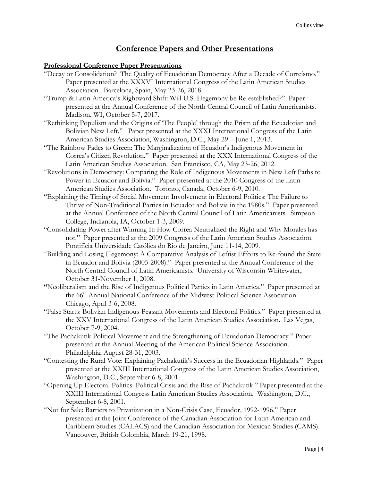### **Conference Papers and Other Presentations**

#### **Professional Conference Paper Presentations**

- "Decay or Consolidation? The Quality of Ecuadorian Democracy After a Decade of Correísmo." Paper presented at the XXXVI International Congress of the Latin American Studies Association. Barcelona, Spain, May 23-26, 2018.
- "Trump & Latin America's Rightward Shift: Will U.S. Hegemony be Re-established?" Paper presented at the Annual Conference of the North Central Council of Latin Americanists. Madison, WI, October 5-7, 2017.
- "Rethinking Populism and the Origins of 'The People' through the Prism of the Ecuadorian and Bolivian New Left." Paper presented at the XXXI International Congress of the Latin American Studies Association, Washington, D.C., May 29 – June 1, 2013.
- "The Rainbow Fades to Green: The Marginalization of Ecuador's Indigenous Movement in Correa's Citizen Revolution." Paper presented at the XXX International Congress of the Latin American Studies Association. San Francisco, CA, May 23-26, 2012.
- "Revolutions in Democracy: Comparing the Role of Indigenous Movements in New Left Paths to Power in Ecuador and Bolivia." Paper presented at the 2010 Congress of the Latin American Studies Association. Toronto, Canada, October 6-9, 2010.
- "Explaining the Timing of Social Movement Involvement in Electoral Politics: The Failure to Thrive of Non-Traditional Parties in Ecuador and Bolivia in the 1980s." Paper presented at the Annual Conference of the North Central Council of Latin Americanists. Simpson College, Indianola, IA, October 1-3, 2009.
- "Consolidating Power after Winning It: How Correa Neutralized the Right and Why Morales has not."Paper presented at the 2009 Congress of the Latin American Studies Association. Pontifícia Universidade Católica do Rio de Janeiro, June 11-14, 2009.
- "Building and Losing Hegemony: A Comparative Analysis of Leftist Efforts to Re-found the State in Ecuador and Bolivia (2005-2008)." Paper presented at the Annual Conference of the North Central Council of Latin Americanists. University of Wisconsin-Whitewater, October 31-November 1, 2008.
- **"**Neoliberalism and the Rise of Indigenous Political Parties in Latin America." Paper presented at the 66th Annual National Conference of the Midwest Political Science Association. Chicago, April 3-6, 2008.
- "False Starts: Bolivian Indigenous-Peasant Movements and Electoral Politics." Paper presented at the XXV International Congress of the Latin American Studies Association. Las Vegas, October 7-9, 2004.
- "The Pachakutik Political Movement and the Strengthening of Ecuadorian Democracy." Paper presented at the Annual Meeting of the American Political Science Association. Philadelphia, August 28-31, 2003.
- "Contesting the Rural Vote: Explaining Pachakutik's Success in the Ecuadorian Highlands."Paper presented at the XXIII International Congress of the Latin American Studies Association, Washington, D.C., September 6-8, 2001.
- "Opening Up Electoral Politics: Political Crisis and the Rise of Pachakutik." Paper presented at the XXIII International Congress Latin American Studies Association. Washington, D.C., September 6-8, 2001.
- "Not for Sale: Barriers to Privatization in a Non-Crisis Case, Ecuador, 1992-1996." Paper presented at the Joint Conference of the Canadian Association for Latin American and Caribbean Studies (CALACS) and the Canadian Association for Mexican Studies (CAMS). Vancouver, British Colombia, March 19-21, 1998.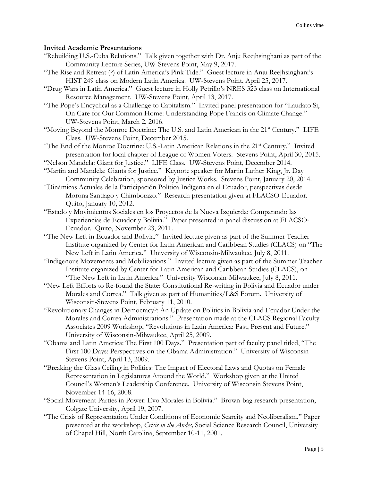### **Invited Academic Presentations**

- "Rebuilding U.S.-Cuba Relations." Talk given together with Dr. Anju Reejhsinghani as part of the Community Lecture Series, UW-Stevens Point, May 9, 2017.
- "The Rise and Retreat (?) of Latin America's Pink Tide." Guest lecture in Anju Reejhsinghani's HIST 249 class on Modern Latin America. UW-Stevens Point, April 25, 2017.
- "Drug Wars in Latin America." Guest lecture in Holly Petrillo's NRES 323 class on International Resource Management. UW-Stevens Point, April 13, 2017.
- "The Pope's Encyclical as a Challenge to Capitalism." Invited panel presentation for "Laudato Si, On Care for Our Common Home: Understanding Pope Francis on Climate Change." UW-Stevens Point, March 2, 2016.
- "Moving Beyond the Monroe Doctrine: The U.S. and Latin American in the 21<sup>st</sup> Century." LIFE Class. UW-Stevens Point, December 2015.
- "The End of the Monroe Doctrine: U.S.-Latin American Relations in the  $21<sup>st</sup>$  Century." Invited presentation for local chapter of League of Women Voters. Stevens Point, April 30, 2015.
- "Nelson Mandela: Giant for Justice." LIFE Class. UW-Stevens Point, December 2014.
- "Martin and Mandela: Giants for Justice." Keynote speaker for Martin Luther King, Jr. Day Community Celebration, sponsored by Justice Works. Stevens Point, January 20, 2014.
- "Dinámicas Actuales de la Participación Política Indígena en el Ecuador, perspectivas desde Morona Santiago y Chimborazo." Research presentation given at FLACSO-Ecuador. Quito, January 10, 2012.
- "Estado y Movimientos Sociales en los Proyectos de la Nueva Izquierda: Comparando las Experiencias de Ecuador y Bolivia." Paper presented in panel discussion at FLACSO-Ecuador. Quito, November 23, 2011.
- "The New Left in Ecuador and Bolivia." Invited lecture given as part of the Summer Teacher Institute organized by Center for Latin American and Caribbean Studies (CLACS) on "The New Left in Latin America." University of Wisconsin-Milwaukee, July 8, 2011.
- "Indigenous Movements and Mobilizations." Invited lecture given as part of the Summer Teacher Institute organized by Center for Latin American and Caribbean Studies (CLACS), on "The New Left in Latin America." University Wisconsin-Milwaukee, July 8, 2011.
- "New Left Efforts to Re-found the State: Constitutional Re-writing in Bolivia and Ecuador under Morales and Correa." Talk given as part of Humanities/L&S Forum. University of Wisconsin-Stevens Point, February 11, 2010.
- "Revolutionary Changes in Democracy?: An Update on Politics in Bolivia and Ecuador Under the Morales and Correa Administrations." Presentation made at the CLACS Regional Faculty Associates 2009 Workshop, "Revolutions in Latin America: Past, Present and Future." University of Wisconsin-Milwaukee, April 25, 2009.
- "Obama and Latin America: The First 100 Days." Presentation part of faculty panel titled, "The First 100 Days: Perspectives on the Obama Administration." University of Wisconsin Stevens Point, April 13, 2009.
- "Breaking the Glass Ceiling in Politics: The Impact of Electoral Laws and Quotas on Female Representation in Legislatures Around the World." Workshop given at the United Council's Women's Leadership Conference. University of Wisconsin Stevens Point, November 14-16, 2008.
- "Social Movement Parties in Power: Evo Morales in Bolivia." Brown-bag research presentation, Colgate University, April 19, 2007.
- "The Crisis of Representation Under Conditions of Economic Scarcity and Neoliberalism." Paper presented at the workshop, *Crisis in the Andes,* Social Science Research Council, University of Chapel Hill, North Carolina, September 10-11, 2001.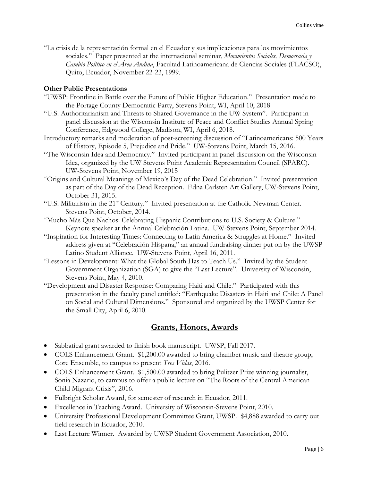"La crisis de la representación formal en el Ecuador y sus implicaciones para los movimientos sociales." Paper presented at the internacional seminar, *Movimientos Sociales, Democracia y Cambio Político en el Área Andina*, Facultad Latinoamericana de Ciencias Sociales (FLACSO), Quito, Ecuador, November 22-23, 1999.

### **Other Public Presentations**

- "UWSP: Frontline in Battle over the Future of Public Higher Education." Presentation made to the Portage County Democratic Party, Stevens Point, WI, April 10, 2018
- "U.S. Authoritarianism and Threats to Shared Governance in the UW System". Participant in panel discussion at the Wisconsin Institute of Peace and Conflict Studies Annual Spring Conference, Edgwood College, Madison, WI, April 6, 2018.
- Introductory remarks and moderation of post-screening discussion of "Latinoamericans: 500 Years of History, Episode 5, Prejudice and Pride." UW-Stevens Point, March 15, 2016.
- "The Wisconsin Idea and Democracy." Invited participant in panel discussion on the Wisconsin Idea, organized by the UW Stevens Point Academic Representation Council (SPARC). UW-Stevens Point, November 19, 2015
- "Origins and Cultural Meanings of Mexico's Day of the Dead Celebration." Invited presentation as part of the Day of the Dead Reception. Edna Carlsten Art Gallery, UW-Stevens Point, October 31, 2015.
- "U.S. Militarism in the 21st Century." Invited presentation at the Catholic Newman Center. Stevens Point, October, 2014.
- "Mucho Más Que Nachos: Celebrating Hispanic Contributions to U.S. Society & Culture." Keynote speaker at the Annual Celebración Latina. UW-Stevens Point, September 2014.
- "Inspiration for Interesting Times: Connecting to Latin America & Struggles at Home." Invited address given at "Celebración Hispana," an annual fundraising dinner put on by the UWSP Latino Student Alliance. UW-Stevens Point, April 16, 2011.
- "Lessons in Development: What the Global South Has to Teach Us." Invited by the Student Government Organization (SGA) to give the "Last Lecture". University of Wisconsin, Stevens Point, May 4, 2010.
- "Development and Disaster Response: Comparing Haiti and Chile." Participated with this presentation in the faculty panel entitled: "Earthquake Disasters in Haiti and Chile: A Panel on Social and Cultural Dimensions." Sponsored and organized by the UWSP Center for the Small City, April 6, 2010.

### **Grants, Honors, Awards**

- Sabbatical grant awarded to finish book manuscript. UWSP, Fall 2017.
- COLS Enhancement Grant. \$1,200.00 awarded to bring chamber music and theatre group, Core Ensemble, to campus to present *Tres Vidas*, 2016.
- COLS Enhancement Grant. \$1,500.00 awarded to bring Pulitzer Prize winning journalist, Sonia Nazario, to campus to offer a public lecture on "The Roots of the Central American Child Migrant Crisis", 2016.
- Fulbright Scholar Award, for semester of research in Ecuador, 2011.
- Excellence in Teaching Award. University of Wisconsin-Stevens Point, 2010.
- University Professional Development Committee Grant, UWSP. \$4,888 awarded to carry out field research in Ecuador, 2010.
- Last Lecture Winner. Awarded by UWSP Student Government Association, 2010.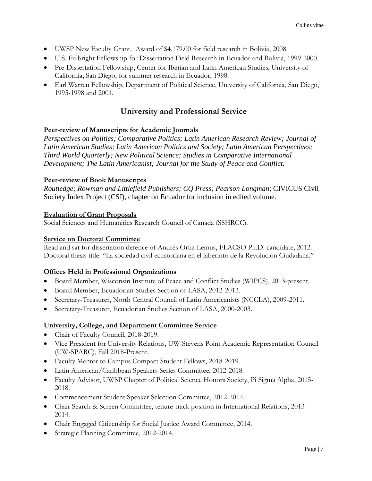- UWSP New Faculty Grant. Award of \$4,179.00 for field research in Bolivia, 2008.
- U.S. Fulbright Fellowship for Dissertation Field Research in Ecuador and Bolivia, 1999-2000.
- Pre-Dissertation Fellowship, Center for Iberian and Latin American Studies, University of California, San Diego, for summer research in Ecuador, 1998.
- Earl Warren Fellowship, Department of Political Science, University of California, San Diego, 1995-1998 and 2001.

# **University and Professional Service**

### **Peer-review of Manuscripts for Academic Journals**

*Perspectives on Politics; Comparative Politics; Latin American Research Review; Journal of Latin American Studies; Latin American Politics and Society; Latin American Perspectives; Third World Quarterly; New Political Science; Studies in Comparative International Development; The Latin Americanist; Journal for the Study of Peace and Conflict.*

### **Peer-review of Book Manuscripts**

*Routledge; Rowman and Littlefield Publishers; CQ Press; Pearson Longman*; CIVICUS Civil Society Index Project (CSI), chapter on Ecuador for inclusion in edited volume.

### **Evaluation of Grant Proposals**

Social Sciences and Humanities Research Council of Canada (SSHRCC).

### **Service on Doctoral Committee**

Read and sat for dissertation defence of Andrés Ortiz Lemus, FLACSO Ph.D. candidate, 2012. Doctoral thesis title: "La sociedad civil ecuatoriana en el laberinto de la Revolución Ciudadana."

### **Offices Held in Professional Organizations**

- Board Member, Wisconsin Institute of Peace and Conflict Studies (WIPCS), 2013-present.
- Board Member, Ecuadorian Studies Section of LASA, 2012-2013.
- Secretary-Treasurer, North Central Council of Latin Americanists (NCCLA), 2009-2011.
- Secretary-Treasurer, Ecuadorian Studies Section of LASA, 2000-2003.

### **University, College, and Department Committee Service**

- Chair of Faculty Council, 2018-2019.
- Vice President for University Relations, UW-Stevens Point Academic Representation Council (UW-SPARC), Fall 2018-Present.
- Faculty Mentor to Campus Compact Student Fellows, 2018-2019.
- Latin American/Caribbean Speakers Series Committee, 2012-2018.
- Faculty Advisor, UWSP Chapter of Political Science Honors Society, Pi Sigma Alpha, 2015-2018.
- Commencement Student Speaker Selection Committee, 2012-2017.
- Chair Search & Screen Committee, tenure-track position in International Relations, 2013-2014.
- Chair Engaged Citizenship for Social Justice Award Committee, 2014.
- Strategic Planning Committee, 2012-2014.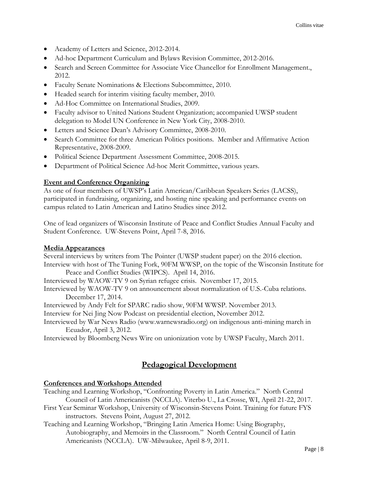- Academy of Letters and Science, 2012-2014.
- Ad-hoc Department Curriculum and Bylaws Revision Committee, 2012-2016.
- Search and Screen Committee for Associate Vice Chancellor for Enrollment Management., 2012.
- Faculty Senate Nominations & Elections Subcommittee, 2010.
- Headed search for interim visiting faculty member, 2010.
- Ad-Hoc Committee on International Studies, 2009.
- Faculty advisor to United Nations Student Organization; accompanied UWSP student delegation to Model UN Conference in New York City, 2008-2010.
- Letters and Science Dean's Advisory Committee, 2008-2010.
- Search Committee for three American Politics positions. Member and Affirmative Action Representative, 2008-2009.
- Political Science Department Assessment Committee, 2008-2015.
- Department of Political Science Ad-hoc Merit Committee, various years.

### **Event and Conference Organizing**

As one of four members of UWSP's Latin American/Caribbean Speakers Series (LACSS), participated in fundraising, organizing, and hosting nine speaking and performance events on campus related to Latin American and Latino Studies since 2012.

One of lead organizers of Wisconsin Institute of Peace and Conflict Studies Annual Faculty and Student Conference. UW-Stevens Point, April 7-8, 2016.

### **Media Appearances**

Several interviews by writers from The Pointer (UWSP student paper) on the 2016 election. Interview with host of The Tuning Fork, 90FM WWSP, on the topic of the Wisconsin Institute for Peace and Conflict Studies (WIPCS). April 14, 2016.

Interviewed by WAOW-TV 9 on Syrian refugee crisis. November 17, 2015.

Interviewed by WAOW-TV 9 on announcement about normalization of U.S.-Cuba relations. December 17, 2014.

Interviewed by Andy Felt for SPARC radio show, 90FM WWSP. November 2013.

Interview for Nei Jing Now Podcast on presidential election, November 2012.

Interviewed by War News Radio (www.warnewsradio.org) on indigenous anti-mining march in Ecuador, April 3, 2012.

Interviewed by Bloomberg News Wire on unionization vote by UWSP Faculty, March 2011.

# **Pedagogical Development**

### **Conferences and Workshops Attended**

- Teaching and Learning Workshop, "Confronting Poverty in Latin America." North Central Council of Latin Americanists (NCCLA). Viterbo U., La Crosse, WI, April 21-22, 2017.
- First Year Seminar Workshop, University of Wisconsin-Stevens Point. Training for future FYS instructors. Stevens Point, August 27, 2012.
- Teaching and Learning Workshop, "Bringing Latin America Home: Using Biography, Autobiography, and Memoirs in the Classroom." North Central Council of Latin Americanists (NCCLA). UW-Milwaukee, April 8-9, 2011.